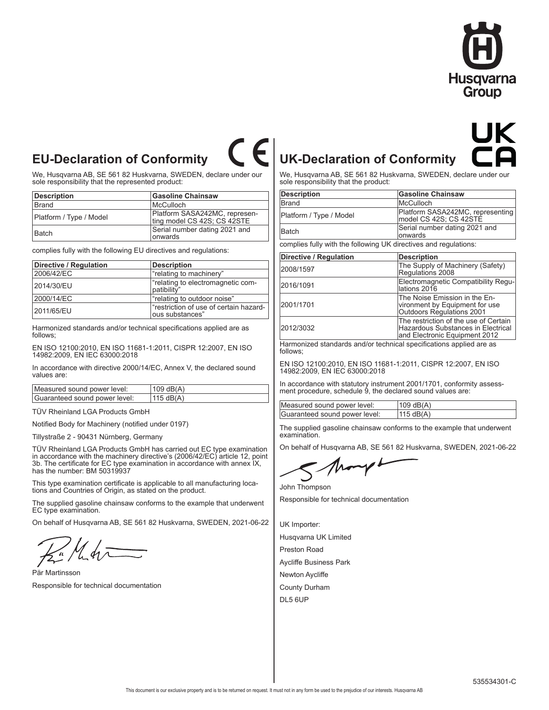

# **EU-Declaration of Conformity**

We, Husqvarna AB, SE 561 82 Huskvarna, SWEDEN, declare under our sole responsibility that the represented product:

| <b>Description</b>      | <b>Gasoline Chainsaw</b>                                     |
|-------------------------|--------------------------------------------------------------|
| Brand                   | <b>McCulloch</b>                                             |
| Platform / Type / Model | Platform SASA242MC, represen-<br>ting model CS 42S, CS 42STE |
| Batch                   | Serial number dating 2021 and<br>onwards                     |

complies fully with the following EU directives and regulations:

| Directive / Regulation | <b>Description</b>                                       |
|------------------------|----------------------------------------------------------|
| 2006/42/EC             | "relating to machinery"                                  |
| 2014/30/EU             | "relating to electromagnetic com-<br>patibility"         |
| 2000/14/EC             | "relating to outdoor noise"                              |
| 2011/65/EU             | festriction of use of certain hazard-<br>ous substances" |

Harmonized standards and/or technical specifications applied are as follows;

EN ISO 12100:2010, EN ISO 11681-1:2011, CISPR 12:2007, EN ISO 14982:2009, EN IEC 63000:2018

In accordance with directive 2000/14/EC, Annex V, the declared sound values are:

| Measured sound power level:   | 109 dB $(A)$ |
|-------------------------------|--------------|
| Guaranteed sound power level: | 1115 dB(A)   |

TÜV Rheinland LGA Products GmbH

Notified Body for Machinery (notified under 0197)

Tillystraße 2 - 90431 Nürnberg, Germany

TÜV Rheinland LGA Products GmbH has carried out EC type examination in accordance with the machinery directive's (2006/42/EC) article 12, point 3b. The certificate for EC type examination in accordance with annex IX, has the number: BM 50319937

This type examination certificate is applicable to all manufacturing locations and Countries of Origin, as stated on the product.

The supplied gasoline chainsaw conforms to the example that underwent EC type examination.

On behalf of Husqvarna AB, SE 561 82 Huskvarna, SWEDEN, 2021-06-22

Pär Martinsson Responsible for technical documentation

**UK-Declaration of Conformity** We, Husqvarna AB, SE 561 82 Huskvarna, SWEDEN, declare under our sole responsibility that the product

| <b>Description</b>                                               | <b>Gasoline Chainsaw</b>                                   |  |
|------------------------------------------------------------------|------------------------------------------------------------|--|
| Brand                                                            | <b>McCulloch</b>                                           |  |
| Platform / Type / Model                                          | Platform SASA242MC, representing<br>model CS 42S: CS 42STE |  |
| Batch                                                            | Serial number dating 2021 and<br>onwards                   |  |
| complies fully with the following UK directives and regulations: |                                                            |  |
| Directive / Regulation                                           | <b>Description</b>                                         |  |
| 2008/1597                                                        | The Supply of Machinery (Safety)                           |  |

| 2008/1597 | The Supply of Machinery (Safety)<br>Regulations 2008                                                         |
|-----------|--------------------------------------------------------------------------------------------------------------|
| 2016/1091 | Electromagnetic Compatibility Regu-<br>lations 2016                                                          |
| 2001/1701 | The Noise Emission in the En-<br>vironment by Equipment for use<br>Outdoors Regulations 2001                 |
| 2012/3032 | The restriction of the use of Certain<br>Hazardous Substances in Electrical<br>and Electronic Equipment 2012 |

Harmonized standards and/or technical specifications applied are as follows;

EN ISO 12100:2010, EN ISO 11681-1:2011, CISPR 12:2007, EN ISO 14982:2009, EN IEC 63000:2018

In accordance with statutory instrument 2001/1701, conformity assessment procedure, schedule 9, the declared sound values are:

| Measured sound power level:   | 1109 dB(A) |
|-------------------------------|------------|
| Guaranteed sound power level: | 115 dB(A)  |

The supplied gasoline chainsaw conforms to the example that underwent examination.

On behalf of Husqvarna AB, SE 561 82 Huskvarna, SWEDEN, 2021-06-22

John Thompson Responsible for technical documentation

UK Importer:

.

Husqvarna UK Limited Preston Road Aycliffe Business Park Newton Aycliffe County Durham DL5 6UP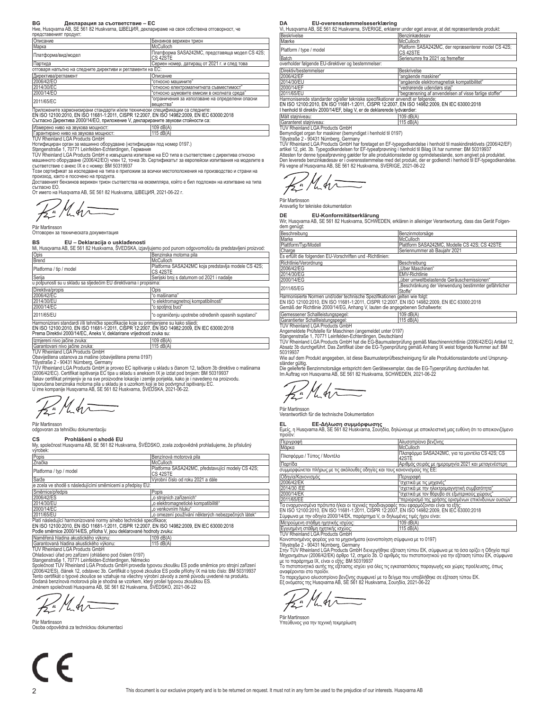**ВG Декларация за съответствие – ЕС<br>Ние, Низдуата AB, SE 561 82 Huskvarna, ШВЕЦИЯ, декларираме на своя собствена отговорност, че** 

| представеният продукт:                                                         |                                                              |
|--------------------------------------------------------------------------------|--------------------------------------------------------------|
| Описание                                                                       | Бензинов верижен трион                                       |
| Марка                                                                          | McCulloch                                                    |
| Платформа/вид/модел                                                            | Платформа SASA242MC, представяща модел CS 42S;<br>CS 42STE   |
| Партида                                                                        | Сериен номер, датиращ от 2021 г. и след това                 |
| отговаря напълно на следните директиви и регламенти на ЕС:                     |                                                              |
| Директива/регламент                                                            | Описание                                                     |
| 2006/42/EO                                                                     | "относно машините"                                           |
| 2014/30/EC                                                                     | "относно електромагнитната съвместимост"                     |
| 2000/14/EO                                                                     | "относно шумовите емисии в околната среда"                   |
| 2011/65/EC                                                                     | "ограничения за използване на определени опасни<br>вещества" |
| Приложените хармонизирани стандарти и/или технически спецификации са следните: |                                                              |

Приложените хармонизирани стандарти и/или технически спецификации са следните:<br>EN ISO 12100:2010, EN ISO 11681-1:2011, CISPR 12:2007, EN ISO 14982:2009, EN IEC 63000:2018

Съгласно Директива 2000/14/ЕО, приложение V, декларираните звукови стойности са: Измерено ниво на звукова мощност: 109 dB(A)

Гарантирано ниво на звукова мощност: 115 dB(A) TÜV Rheinland LGA Products GmbH Нотифициран орган за машинно оборудване (нотифициран под номер 0197.) Stangenstraße 1, 70771 Leinfelden-Echterdingen, Германия TÜV Rheinland LGA Products GmbH е извършила изпитване на ЕО типа в съответствие с директива относно машинното оборудване (2006/42/ЕО) член 12, точка 3b. Сертификатът за европейски изпитвания на моделите в съответствие с анекс IX е с номер: BM 50319937

Този сертификат за изследване на типа е приложим за всички местоположения на производство и страни на

произход, както е посочено на продукта. Доставеният бензинов верижен трион съответства на екземпляра, който е бил подложен на изпитване на типа

съгласно ЕО. От името на Husqvarna AB, SE 561 82 Huskvarna, ШВЕЦИЯ, 2021-06-22 г.

 $4\pi$  $\mu$ 

Pär Martinsson

Отговорен за техническата документация

### **BS EU – Deklaracija o usklađenosti**

| LU DUNIUIUUIU UUNIUUUIIUU<br>Mi, Husqvarna AB, SE 561 82 Huskvarna, ŠVEDSKA, izjavljujemo pod punom odgovornošću da predstavljeni proizvod:                                                                                                                         |                                                                  |  |
|---------------------------------------------------------------------------------------------------------------------------------------------------------------------------------------------------------------------------------------------------------------------|------------------------------------------------------------------|--|
| Opis                                                                                                                                                                                                                                                                | Benzinska motorna pila                                           |  |
| Brend                                                                                                                                                                                                                                                               | McCulloch                                                        |  |
| Platforma / tip / model                                                                                                                                                                                                                                             | Platforma SASA242MC koja predstavlja modele CS 42S;<br>ICS 42STE |  |
| Serija                                                                                                                                                                                                                                                              | Serijski broj s datumom od 2021 i nadalje                        |  |
| u potpunosti su u skladu sa sljedećim EU direktivama i propisima:                                                                                                                                                                                                   |                                                                  |  |
| Direktiva/propis                                                                                                                                                                                                                                                    | Opis                                                             |  |
| 2006/42/EC                                                                                                                                                                                                                                                          | "o mašinama"                                                     |  |
| 2014/30/EU                                                                                                                                                                                                                                                          | "o elektromagnetnoj kompatibilnosti"                             |  |
| 2000/14/EC                                                                                                                                                                                                                                                          | "o spoljnoj buci"                                                |  |
| 2011/65/EU                                                                                                                                                                                                                                                          | "o ograničenju upotrebe određenih opasnih supstanci"             |  |
| Harmonizirani standardi i/ili tehničke specifikacije koje su primijenjene su kako slijedi;<br>EN ISO 12100:2010, EN ISO 11681-1:2011, CISPR 12:2007, EN ISO 14982:2009. EN IEC 63000:2018<br>Prema Direktivi 2000/14/EC, Aneks V, deklarirane vrijednosti zvuka su: |                                                                  |  |

Izmjereni nivo jačine zvuka: 109 dB(A) Garantovani nivo jačine zvuka: 115 dB(A) TÜV Rheinland LGA Products GmbH

Obaviještena ustanova za mašine (obaviještena prema 0197)<br>Tillystraße 2 - 90431 Nürnberg, Germany<br>TÜV Rheinland LGA Products GmbH je proveo EC ispitivanje u skladu s članom 12, tačkom 3b direktive o mašinama (2006/42/EC). Certifikat ispitivanja EC tipa u skladu s aneksom IX je izdat pod brojem: BM 50319937<br>Takav certifikat primjenjiv je na sve proizvodne lokacije i zemlje porijekla, kako je i navedeno na proizvodu.<br>Isporučena

 $R^2$ Mati

## Pär Martinsson

odgovoran za tehničku dokumentaciju

**CS Prohlášení o shodě EU** My, společnost Husqvarna AB, SE 561 82 Huskvarna, ŠVÉDSKO, zcela zodpovědně prohlašujeme, že příslušný výrobek:

| Popis                                                                                   | Benzínová motorová pila                                        |
|-----------------------------------------------------------------------------------------|----------------------------------------------------------------|
| Značka                                                                                  | McCulloch                                                      |
| Platforma / typ / model                                                                 | Platforma SASA242MC, představující modely CS 42S;<br>ICS 42STE |
| Sarže                                                                                   | Výrobní číslo od roku 2021 a dále                              |
| je zcela ve shodě s následujícími směrnicemi a předpisy EU:                             |                                                                |
| Směrnice/předpis                                                                        | Popis                                                          |
| 2006/42/ES                                                                              | .o stroiních zařízeních"                                       |
| 2014/30/EU                                                                              | "o elektromagnetické kompatibilitě"                            |
| 2000/14/EC                                                                              | "o venkovním hluku"                                            |
| 2011/65/EU                                                                              | "o omezení používání některých nebezpečných látek"             |
| Platí následující harmonizované normy a/nebo technické specifikace;                     |                                                                |
| EN ISO 12100:2010 EN ISO 11681-1:2011 CISPR 12:2007 EN ISO 14982:2009 EN IEC 63000:2018 |                                                                |

EN ISO 12100:2010, EN ISO 11681-1:2011, CISPR 12:2007, EN ISO 14982:2009, EN IEC 63000:2018 Podle směrnice 2000/14/ES, příloha V, jsou deklarované hodnoty zvuku:

Naměřená hladina akustického výkonu: 109 dB(A) Garantovaná hladina akustického výkonu: 115 dB(A) TÜV Rheinland LGA Products GmbH

Ohlašovací úřad pro zařízení (ohlášeno pod číslem 0197)<br>Stangenstraße 1.70771 Leinfelden-Echterdingen, Německo<br>Společnost TUV Rheinland LGA Products GmbH provedla typovou zkoušku ES podle směrnice pro strojní zařízení<br>(20

 Pär Martinsson Osoba odpovědná za technickou dokumentaci



| Vi, Husqvarna AB, SE 561 82 Huskvarna, SVERIGE, erklærer under eget ansvar, at det repræsenterede produkt:                                                                                                                                                  |                                                                 |  |
|-------------------------------------------------------------------------------------------------------------------------------------------------------------------------------------------------------------------------------------------------------------|-----------------------------------------------------------------|--|
| Beskrivelse                                                                                                                                                                                                                                                 | Benzinkædesav                                                   |  |
| Mærke                                                                                                                                                                                                                                                       | McCulloch                                                       |  |
| Platform / type / model                                                                                                                                                                                                                                     | Platform SASA242MC, der repræsenterer model CS 42S;<br>CS 42STE |  |
| Batch                                                                                                                                                                                                                                                       | Serienumre fra 2021 og fremefter                                |  |
| overholder følgende EU-direktiver og bestemmelser:                                                                                                                                                                                                          |                                                                 |  |
| Direktiv/bestemmelser                                                                                                                                                                                                                                       | Beskrivelse                                                     |  |
| 2006/42/EF                                                                                                                                                                                                                                                  | "angående maskiner"                                             |  |
| 2014/30/EU                                                                                                                                                                                                                                                  | "angående elektromagnetisk kompatibilitet"                      |  |
| 2000/14/EF                                                                                                                                                                                                                                                  | "vedrørende udendørs støi"                                      |  |
| 2011/65/EU                                                                                                                                                                                                                                                  | "begrænsning af anvendelsen af visse farlige stoffer"           |  |
| Harmoniserede standarder og/eller tekniske specifikationer anvendt er følgende:<br>EN ISO 12100:2010. EN ISO 11681-1:2011. CISPR 12:2007. EN ISO 14982:2009. EN IEC 63000:2018<br>I henhold til direktiv 2000/14/EF, bilag V, er de deklarerede lydværdier: |                                                                 |  |
| Målt støjniveau:                                                                                                                                                                                                                                            | 109 dB(A)                                                       |  |
| Garanteret støiniveau:                                                                                                                                                                                                                                      | 115 dB(A)                                                       |  |
| THV Rhoinland LGA Products GmbH                                                                                                                                                                                                                             |                                                                 |  |

TUV Rheinland LGA Products GmH<br>Elempion de Capacity (of Products GmH)<br>Tillystraße 2 - 90431 Nürnberg, Germany<br>Tillystraße 2 - 90431 Nürnberg, Germany<br>artikel 12, pkt. 3b. Typegodkendelsen for EF-typeafprøvning i henhold t På vegne af Husqvarna AB, SE 561 82 Huskvarna, SVERIGE, 2021-06-22

 $\frac{1}{4}$  M dr

Pär Martinsson

## Ansvarlig for tekniske dokumentation

**DE EU-Konformitätserklärung** Wir, Husqvarna AB, SE 561 82 Huskvarna, SCHWEDEN, erklären in alleiniger Verantwortung, dass das Gerät Folgenem genügt:

| Beschreibung                                                                                                                                                              | Benzinmotorsäge                                                 |  |
|---------------------------------------------------------------------------------------------------------------------------------------------------------------------------|-----------------------------------------------------------------|--|
| Marke                                                                                                                                                                     | McCulloch                                                       |  |
| Plattform/Tvp/Modell                                                                                                                                                      | Plattform SASA242MC, Modelle CS 42S; CS 42STE                   |  |
| Charge                                                                                                                                                                    | Seriennummer ab Baujahr 2021                                    |  |
| Es erfüllt die folgenden EU-Vorschriften und -Richtlinien:                                                                                                                |                                                                 |  |
| Richtlinie/Verordnung                                                                                                                                                     | Beschreibung                                                    |  |
| 2006/42/EG                                                                                                                                                                | I.Uber Maschinen"                                               |  |
| 2014/30/EG                                                                                                                                                                | <b>EMV-Richtlinie</b>                                           |  |
| 2000/14/EG                                                                                                                                                                | "über umweltbelastende Geräuschemissionen"                      |  |
| 2011/65/EG                                                                                                                                                                | "Beschränkung der Verwendung bestimmter gefährlicher<br>Stoffe" |  |
| Harmonisierte Normen und/oder technische Spezifikationen gelten wie folgt:<br>EN ISO 12100:2010, EN ISO 11681-1:2011, CISPR 12:2007, EN ISO 14982:2009, EN IEC 63000:2018 |                                                                 |  |

EN ISO 12100:2010, EN ISO 11681-1:2011, CISPR 12:2007, EN ISO 14982:2009, EN IEC 63000:2018 Gemäß der Richtlinie 2000/14/EG, Anhang V, lauten die angegebenen Schallwerte:

| Gemessener Schallleistungspegel:                             | 109 dB(A) |
|--------------------------------------------------------------|-----------|
| Garantierter Schallleistungspegel:                           | 115 dB(A) |
| TUV Rheinland LGA Products GmbH                              |           |
| Annomoldata Prüfetalla für Maschinan (annomoldat untar 0197) |           |

Angemeldete Prüfstelle für Maschinen (angemeldet unter 0197)<br>Stangenstraße 1, 70771 Leinfelden-Echterdingen, Deutschland<br>TUV Rheinland LGA Products GmbH hat die EG-Baumusterprüfung gemäß Maschinenrichtlinie (2006/42/EG) Ar 50319937

Wie auf dem Produkt angegeben, ist diese Baumusterprüfbescheinigung für alle Produktionsstandorte und Ursprung-

sländer gültig.<br>Die gelieferte Benzinmotorsäge entspricht dem Geräteexemplar, das die EG-Typenprüfung durchlaufen hat.<br>Im Auftrag von Husqvarna AB, SE 561 82 Huskvarna, SCHWEDEN, 2021-06-22

 $\frac{1}{4}$  / L d  $\bar{\lambda}$ 

Pär Martineeon Pär Martinsson Verantwortlich für die technische Dokumentation

**EL**<br>Εμείς, η Husqvarna AB, SE 561 82 Huskvarna, Σουηδία, δηλώνουμε με αποκλειστική μας ευθύνη ότι το απεικονιζόμενο<br>προϊόν:

| Περιγραφή                                                                                                                                                                              | Αλυσοπρίονο βενζίνης                                    |  |
|----------------------------------------------------------------------------------------------------------------------------------------------------------------------------------------|---------------------------------------------------------|--|
| Μάρκα                                                                                                                                                                                  | McCulloch                                               |  |
| Πλατφόρμα / Τύπος / Μοντέλο                                                                                                                                                            | Πλατφόρμα SASA242MC, για τα μοντέλα CS 42S; CS<br>42STE |  |
| Παρτίδα                                                                                                                                                                                | Αριθμός σειράς με ημερομηνία 2021 και μεταγενέστερη     |  |
| συμμορφώνεται πλήρως με τις ακόλουθες οδηγίες και τους κανονισμούς της ΕΕ:                                                                                                             |                                                         |  |
| Οδηγία/Κανονισμός                                                                                                                                                                      | Περιγραφή                                               |  |
| 2006/42/EK                                                                                                                                                                             | "σχετικά με τις μηχανές"                                |  |
| 2014/30 / EE                                                                                                                                                                           | "σχετικά με την ηλεκτρομαγνητική συμβατότητα"           |  |
| 2000/14/EK                                                                                                                                                                             | "σχετικά με τον θόρυβο σε εξωτερικούς χώρους"           |  |
| 2011/65/EE                                                                                                                                                                             | "περιορισμό της χρήσης ορισμένων επικίνδυνων ουσιών"    |  |
| Τα εναρμονισμένα πρότυπα ή/και οι τεχνικές προδιαγραφές που εφαρμόζονται είναι τα εξής:<br>EN ISO 12100:2010, EN ISO 11681-1:2011, CISPR 12:2007, EN ISO 14982:2009, EN IEC 63000:2018 |                                                         |  |
| Σύμφωνα με την οδηγία 2000/14/ΕΚ, παράρτημα V, οι δηλωμένες τιμές ήχου είναι:                                                                                                          |                                                         |  |
| Μετρούμενη στάθμη ηχητικής ισχύος:                                                                                                                                                     | 109 dB(A)                                               |  |
| Εγγυημένη στάθμη ηχητικής ισχύος:                                                                                                                                                      | 115 dB(A)                                               |  |
|                                                                                                                                                                                        |                                                         |  |

<u>| 1115 dB(A)</u><br>ΤUV Rheinland LGA Products GmbH<br>Κοινοποιημένος φορέας για τα μηχανήματα (κοινοποίηση σύμφωνα με το 0197)<br>Τillystraβe 2 - 90431 Númberg, Germany<br>Στην TUV Rheinland LGA Products GmbH διενεργήθηκε εξέταση τύπο

αναφέρονται στο προϊόν.<br>Το παρεχόμενο αλυσοπρίονο βενζίνης συμφωνεί με το δείγμα που υποβλήθηκε σε εξέταση τύπου ΕΚ.<br>Εξ ονόματος της Husqvarna AB, SE 561 82 Huskvarna, Σουηδία, 2021-06-22

Mar  $\tilde{\phantom{a}}$ 

 Pär Martinsson Υπεύθυνος για την τεχνική τεκμηρίωση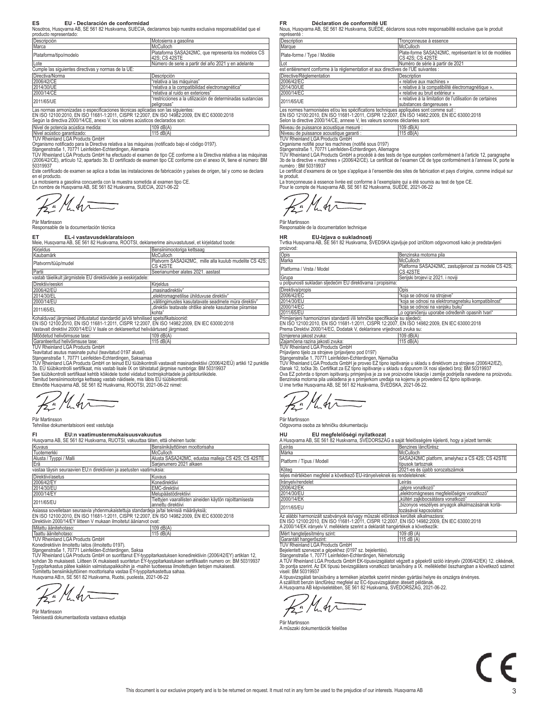**ES EU - Declaración de conformidad**<br>Nosotros, Husqvarna AB, SE 561 82 Huskvarna, SUECIA, declaramos bajo nuestra exclusiva responsabilidad que el producto representado:

| Descripción                                                                                                                                                                                                                                                      | Motosierra a gasolina                                                      |
|------------------------------------------------------------------------------------------------------------------------------------------------------------------------------------------------------------------------------------------------------------------|----------------------------------------------------------------------------|
| Marca                                                                                                                                                                                                                                                            | McCulloch                                                                  |
| Plataforma/tipo/modelo                                                                                                                                                                                                                                           | Plataforma SASA242MC, que representa los modelos CS<br>42S: CS 42STE       |
| Lote                                                                                                                                                                                                                                                             | Número de serie a partir del año 2021 y en adelante                        |
| Cumple las siguientes directivas y normas de la UE:                                                                                                                                                                                                              |                                                                            |
| Directiva/Norma                                                                                                                                                                                                                                                  | Descripción                                                                |
| 2006/42/CE                                                                                                                                                                                                                                                       | l"relativa a las máquinas"                                                 |
| 2014/30/UE                                                                                                                                                                                                                                                       | "relativa a la compatibilidad electromagnética"                            |
| 2000/14/CE                                                                                                                                                                                                                                                       | "relativa al ruido en exteriores"                                          |
| 2011/65/UE                                                                                                                                                                                                                                                       | "restricciones a la utilización de determinadas sustancias<br>lpeligrosas" |
| Las normas armonizadas o especificaciones técnicas aplicadas son las siguientes:<br>EN ISO 12100:2010, EN ISO 11681-1:2011, CISPR 12:2007, EN ISO 14982:2009, EN IEC 63000:2018<br>Según la directiva 2000/14/CE, anexo V, los valores acústicos declarados son: |                                                                            |
| Nivel de potencia acústica medida:                                                                                                                                                                                                                               | 109 dB(A)                                                                  |

Nivel acústico garantizado: 115 dB(A) TÜV Rheinland LGA Products GmbH

Organismo notificado para la Directiva relativa a las máquinas (notificado bajo el código 0197).<br>Stangenstraße 1, 70771 Leinfelden-Echterdingen, Alemania<br>TUV Rheinland LGA Products GmbH ha efectuado el examen de tipo CE co (2006/42/CE), artículo 12, apartado 3b. El certificado de examen tipo CE conforme con el anexo IX, tiene el número: BM 50319937

Este certificado de examen se aplica a todas las instalaciones de fabricación y países de origen, tal y como se declara en el producto.

La motosierra a gasolina concuerda con la muestra sometida al examen tipo CE. En nombre de Husqvarna AB, SE 561 82 Huskvarna, SUECIA, 2021-06-22

Mañ  $\widetilde{\mathcal{L}}$ 

Pär Martinsson

Responsable de la documentación técnica

### **ET EL-i vastavusdeklaratsioon**

## Lite, Husqvarna AB, SE 561 82 Huskvarna, ROOTSI, deklareerime ainuvastutusel, et kirjeldatud toode:<br>Kirjeldus (Kirjeldatud toode: Bensiinimootoriga kettsaag Kirjeldus<br>Kaubamärk McCulloch McCulloch McCulloch<br>Platvorm/tüüp/mudel Platvorm SASA242MC, mille alla kuulub mudelite CS 42S;<br>Platvorm/tüüp/mudel S<sub>42STE</sub> Partii Seerianumber alates 2021. aastas vastab täielikult järgmistele EÜ direktiividele ja eeskirjadele: Direktiiv/eeskiri Kirjeldus 2006/42/EÜ "masinadirektiiv" 2014/30/EL "elektromagnetilise ühilduvuse direktiiv"

| 120 14/JU/LL                                                                                                                                                                      | i "cicku viliauliculisc ulilluuvusc ulickulv                       |
|-----------------------------------------------------------------------------------------------------------------------------------------------------------------------------------|--------------------------------------------------------------------|
| 2000/14/EU                                                                                                                                                                        | l.välitingimustes kasutatavate seadmete müra direktiiv"            |
| 2011/65/EL                                                                                                                                                                        | Ldirektiiv teatavate ohtlike ainete kasutamise piiramise<br>kohta" |
| Kohalduvad järgmised ühtlustatud standardid ja/või tehnilised spetsifikatsioonid:<br>EN ISO 12100.2010. EN ISO 11681-1:2011. CISPR 12:2007. EN ISO 14982:2009. EN IEC 63000:2018. |                                                                    |

EN ISO 12100:2010, EN ISO 11681-1:2011, CISPR 12:2007, EN ISO 14982:2009, EN IEC 63000:2018 Vastavalt direktiivi 2000/14/EÜ V lisale on deklareeritud heliväärtused järgmised:

Mõõdetud helivõimsuse tase: 109 dB(A) Garanteeritud helivõimsuse tase: 115 dB(A) TÜV Rheinland LGA Products GmbH Teavitatud asutus masinate puhul (teavitatud 0197 alusel). Stangenstraße 1, 70771 Leinfelden-Echterdingen, Saksamaa TÜV Rheinland LGA Products GmbH on teinud EÜ tüübikontrolli vastavalt masinadirektiivi (2006/42/EÜ) artikli 12 punktile 3b. EU tüübikontrolli sertifikaat, mis vastab Iisale IX on tähistatud järgmise numbriga: BM 50319937<br>See tüübikontrolli sertifikaat kehtib kõikidele tootel viidatud tootmiskohtadele ja päritoluriikidele.<br>Tarnitud bensiini

Y 4

Pär Martinsson

### Tehnilise dokumentatsiooni eest vastutaja

**FI EU:n vaatimustenmukaisuusvakuutus**<br>Husqvarna AB, SE 561 82 Huskvarna, RUOTSI, vakuuttaa täten, että oheinen tuote:

| Husqvarna AB. SE 561 82 Huskvarna. RUOTSI. Vakuuttaa taten. että oneinen tuote:          |                                                        |  |
|------------------------------------------------------------------------------------------|--------------------------------------------------------|--|
| Kuvaus                                                                                   | Bensiinikäyttöinen moottorisaha                        |  |
| Tuotemerkki                                                                              | McCulloch                                              |  |
| Alusta / Tyyppi / Malli                                                                  | Alusta SASA242MC, edustaa malleia CS 42S; CS 42STE     |  |
| Erä                                                                                      | Sarianumero 2021 alkaen                                |  |
| vastaa täysin seuraavien EU:n direktiivien ja asetusten vaatimuksia:                     |                                                        |  |
| Direktiivi/asetus                                                                        | Kuvaus                                                 |  |
| 2006/42/EY                                                                               | Konedirektiivi                                         |  |
| 2014/30/EU                                                                               | EMC-direktiivi                                         |  |
| 2000/14/EY                                                                               | Melupäästödirektiivi                                   |  |
| 2011/65/EU                                                                               | Tiettvien vaarallisten aineiden käytön raioittamisesta |  |
|                                                                                          | Iannettu direktiivi                                    |  |
| Asiassa sovelletaan seuraavia yhdenmukaistettuja standardeja ja/tai teknisiä määräyksiä: |                                                        |  |

Asiassa sovelletaan seuraavia yhdenmukaistettuja standardeja ja/tai teknisiä määräyksiä; EN ISO 12100:2010, EN ISO 11681-1:2011, CISPR 12:2007, EN ISO 14982:2009, EN IEC 63000:2018

Direktiivin 2000/14/EY liitteen V mukaan ilmoitetut ääniarvot ovat: Mitattu äänitehotaso: 109 dB(A)<br>Taattu äänitehotaso: 115 dB(A) 115 dB(A)

|Taattu äänitehotaso:<br>TUV Rheinland LGA Products GmbH<br>Konedirektiivin ilmoitettu laitos (ilmoitettu 0197).

Stangenstraße 1, 70771 Leinfelden-Echterdingen, Saksa<br>TÜV Rheinland LGA Products GmbH on suorittanut EY-tyyppitarkastuksen konedirektiivin (2006/42/EY) artiklan 12,<br>kohdan 3b mukaisesti. Liitteen IX mukaisesti suoritetun E

 $K_{\!\!\mu}$  / L dr

 Pär Martinsson Teknisestä dokumentaatiosta vastaava edustaja

## **FR Déclaration de conformité UE**<br>Nous, Husqvarna AB, SE 561 82 Huskvarna, SUÈDE, déclarons sous notre responsabilité exclusive que le produit

| représenté :                                                                                                                                                                                                                                                           |                                                                                      |  |
|------------------------------------------------------------------------------------------------------------------------------------------------------------------------------------------------------------------------------------------------------------------------|--------------------------------------------------------------------------------------|--|
| Description                                                                                                                                                                                                                                                            | Tronconneuse à essence                                                               |  |
| Marque                                                                                                                                                                                                                                                                 | McCulloch                                                                            |  |
| Plate-forme / Type / Modèle                                                                                                                                                                                                                                            | Plate-forme SASA242MC, représentant le lot de modèles<br>CS 42S: CS 42STE            |  |
| Lot                                                                                                                                                                                                                                                                    | Numéro de série à partir de 2021                                                     |  |
| est entièrement conforme à la réglementation et aux directives de l'UE suivantes :                                                                                                                                                                                     |                                                                                      |  |
| Directive/Réglementation                                                                                                                                                                                                                                               | Description                                                                          |  |
| 2006/42/EC                                                                                                                                                                                                                                                             | « relative aux machines »                                                            |  |
| 2014/30/UE                                                                                                                                                                                                                                                             | « relative à la compatibilité électromagnétique »,                                   |  |
| 2000/14/EC                                                                                                                                                                                                                                                             | « relative au bruit extérieur »                                                      |  |
| 2011/65/UE                                                                                                                                                                                                                                                             | « relative à la limitation de l'utilisation de certaines<br>substances dangereuses » |  |
| Les normes harmonisées et/ou les spécifications techniques appliquées sont comme suit :<br>EN ISO 12100:2010. EN ISO 11681-1:2011. CISPR 12:2007. ÉN ISO 14982:2009. EN IEC 63000:2018<br>Selon la directive 2000/14/CE, annexe V, les valeurs sonores déclarées sont: |                                                                                      |  |
| Niveau de puissance acoustique mesuré :                                                                                                                                                                                                                                | 109 dB(A)                                                                            |  |
| Nivoou de puissance coquetique gerenti :                                                                                                                                                                                                                               | $44E$ $AD(A)$                                                                        |  |

<u>Niveau de puissance acousique gar</u><br>TUV Rheinland LGA Products GmbH

TUV Rheinland LGA Products GmbH<br>Crganisme notifié pour les machines (notifié sous 0197)<br>Stangenstraße 1, 70771 Leinfelden-Echterdingen, Allemagne<br>TUV Rheinland LGA Products GmbH a procédé à des tests de type européen confo

numéro : BM 50319937 Le certificat d'examens de ce type s'applique à l'ensemble des sites de fabrication et pays d'origine, comme indiqué sur le produit.

La tronçonneuse à essence livrée est conforme à l'exemplaire qui a été soumis au test de type CE. Pour le compte de Husqvarna AB, SE 561 82 Huskvarna, SUÈDE, 2021-06-22

 $4\pi$ u

Pär Martinsson

Responsable de la documentation technique

**HR EU-Izjava o sukladnosti** Tvrtka Husqvarna AB, SE 561 82 Huskvarna, ŠVEDSKA izjavljuje pod izričitom odgovornosti kako je predstavljeni

| proizvod:                                                                                                                                                                                                                                                 |                                                                  |  |
|-----------------------------------------------------------------------------------------------------------------------------------------------------------------------------------------------------------------------------------------------------------|------------------------------------------------------------------|--|
| Opis                                                                                                                                                                                                                                                      | Benzinska motorna pila                                           |  |
| Marka                                                                                                                                                                                                                                                     | McCulloch                                                        |  |
| Platforma / Vrsta / Model                                                                                                                                                                                                                                 | Platforma SASA242MC, zastupljenost za modele CS 42S;<br>CS 42STE |  |
| Grupa                                                                                                                                                                                                                                                     | Serijski brojevi iz 2021. i noviji                               |  |
| u potpunosti sukladan sljedećim EU direktivama i propisima:                                                                                                                                                                                               |                                                                  |  |
| Direktiva/propis                                                                                                                                                                                                                                          | Opis                                                             |  |
| 2006/42/EC                                                                                                                                                                                                                                                | "koja se odnosi na strojeve"                                     |  |
| 2014/30/EU                                                                                                                                                                                                                                                | "koja se odnosi na elektromagnetsku kompatibilnost"              |  |
| 2000/14/EC                                                                                                                                                                                                                                                | "koja se odnosi na vanisku buku"                                 |  |
| 2011/65/EU                                                                                                                                                                                                                                                | l.o ograničeniu uporabe određenih opasnih tvari"                 |  |
| Primijenjeni harmonizirani standardi i/ili tehničke specifikacije su sljedeći;<br>EN IŚO 12100:2010, EN ISO 11681-1:2011, CISPR 12:2007, EN ISO 14982:2009, EN IEC 63000:2018<br>Prema Direktivi 2000/14/EC, Dodatak V, deklarirane vrijednosti zvuka su: |                                                                  |  |
| Izmjerena jakost zvuka:                                                                                                                                                                                                                                   | 109 dB(A)                                                        |  |
|                                                                                                                                                                                                                                                           |                                                                  |  |

Zajamčena razina jakosti zvuka:<br>TUV Rheinland LGA Products GmbH

TUV Rheinland LGA Products GmbH<br>Prijavljeno tijelo za strojeve (prijavljeno pod 0197)<br>Stangenstraße 1, 70771 Leinfelden-Echterdingen, Njemačka<br>TUV Rheinland LGA Products GmbH je proveo EΣ tripno isptivanje u skladu s dire

4 dz

 Pär Martinsson Odgovorna osoba za tehničku dokumentaciju

**HU EU megfelelőségi nyilatkozat** A Husqvarna AB, SE 561 82 Huskvarna, SVÉDORSZÁG a saját felelősségére kijelenti, hogy a jelzett termék:

| רז ועסעימוזומ רוט, טב טט ו טב ו ועסגימוזומ, ט יבטטו <i>ו</i> טברט מ סמןמו וטוטוססטעטוט גווטוטוווו, ווטעץ מ וטובטוג נטוווטג                                                       |                                                                             |  |
|----------------------------------------------------------------------------------------------------------------------------------------------------------------------------------|-----------------------------------------------------------------------------|--|
| Leírás                                                                                                                                                                           | Benzines láncfűrész                                                         |  |
| Márka                                                                                                                                                                            | McCulloch                                                                   |  |
| Platform / Típus / Modell                                                                                                                                                        | SASA242MC platform, amelyhez a CS 42S; CS 42STE<br>típusok tartoznak        |  |
| Kötea                                                                                                                                                                            | 12021-es és úiabb sorozatszámok                                             |  |
| teljes mértékben megfelel a következő EU-irányelveknek és rendeleteknek:                                                                                                         |                                                                             |  |
| Iránvelv/rendelet                                                                                                                                                                | Leírás                                                                      |  |
| 2006/42/EK                                                                                                                                                                       | "gépre vonatkozó"                                                           |  |
| 2014/30/EU                                                                                                                                                                       | "elektromágneses megfelelőségre vonatkozó"                                  |  |
| 2000/14/EK                                                                                                                                                                       | "kültéri zaikibocsátásra vonatkozó"                                         |  |
| 2011/65/EU                                                                                                                                                                       | "bizonyos veszélyes anyagok alkalmazásának korlá-<br>tozásával kapcsolatos" |  |
| Az alábbi harmonizált szabványok és/vagy műszaki előírások kerültek alkalmazásra;                                                                                                |                                                                             |  |
| EN ISO 12100:2010, EN ISO 11681-1:2011, CISPR 12:2007, EN ISO 14982:2009, EN IEC 63000:2018<br>A 2000/14/EK irányelv V. melléklete szerint a deklarált hangértékek a következők: |                                                                             |  |
| Mért hangteljesítmény szint:                                                                                                                                                     | 109 dB (A)                                                                  |  |
| Garantált hangerőszint:                                                                                                                                                          | 115 dB $(A)$                                                                |  |

Garantált hangerőszint: 115 dB (A) TÜV Rheinland LGA Products GmbH

Bejelentett szervezet a gépekhez (0197 sz. bejelentés).<br>Stangenstraße 1, 70771 Leinfelden-Echterdingen, Németország<br>A TÜV Rheinland LGA Products GmbH EK-típusvizsgálatot végzett a gépekről szóló irányelv (2006/42/EK) 12. c viseli: BM 50319937

A típusvizsgálati tanúsítvány a terméken jelzettek szerint minden gyártási helyre és országra érvényes.<br>A szállított benzin láncfürész megfelel az EC-tipusvizsgálaton átesett példának.<br>A Husqvarna AB képviseletében, SE 561

ى -

 Pär Martinsson A műszaki dokumentációk felelőse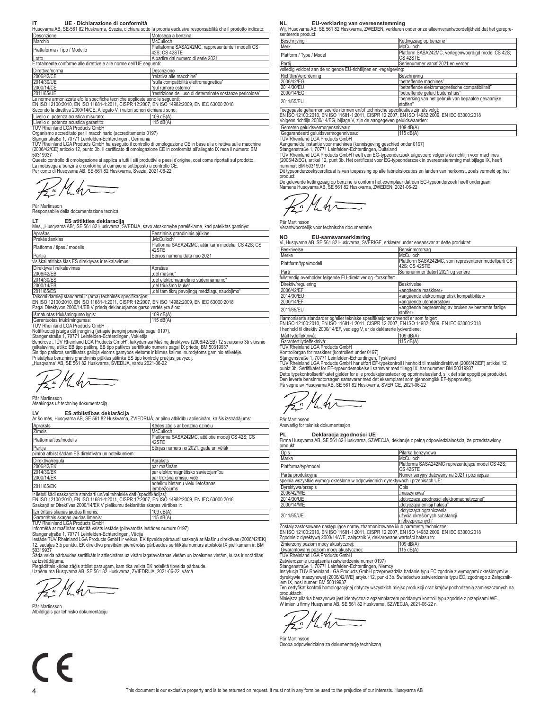## **IT UE - Dichiarazione di conformità Husqvarna AB, SE-561 82 Hustavarna AB, SE-561 82 Hustavaro Sotto indicato:**

| Husqvarna AB, SE-561 62 Huskvarna, Svezia, gičnjara sotto ja propria esclusiva responsabilita čne il progotto indicato:                                                                                                                                     |                                                                     |                                                                     |
|-------------------------------------------------------------------------------------------------------------------------------------------------------------------------------------------------------------------------------------------------------------|---------------------------------------------------------------------|---------------------------------------------------------------------|
|                                                                                                                                                                                                                                                             | Descrizione                                                         | Motosega a benzina                                                  |
|                                                                                                                                                                                                                                                             | Marchio                                                             | McCulloch                                                           |
|                                                                                                                                                                                                                                                             | Piattaforma / Tipo / Modello                                        | Piattaforma SASA242MC, rappresentante i modelli CS<br>42S: CS 42STE |
|                                                                                                                                                                                                                                                             | Lotto                                                               | A partire dal numero di serie 2021                                  |
|                                                                                                                                                                                                                                                             | È totalmente conforme alle direttive e alle norme dell'UE sequenti: |                                                                     |
|                                                                                                                                                                                                                                                             | Direttiva/norma                                                     | Descrizione                                                         |
|                                                                                                                                                                                                                                                             | 2006/42/CE                                                          | "relativa alle macchine"                                            |
|                                                                                                                                                                                                                                                             | 2014/30/UE                                                          | "sulla compatibilità elettromagnetica"                              |
|                                                                                                                                                                                                                                                             | 2000/14/CE                                                          | "sul rumore esterno"                                                |
|                                                                                                                                                                                                                                                             | 2011/65/UE                                                          | "restrizione dell'uso di determinate sostanze pericolose"           |
| Le norme armonizzate e/o le specifiche tecniche applicate sono le sequenti;<br>EN ISO 12100:2010, EN ISO 11681-1:2011, CISPR 12:2007, EN ISO 14982:2009, EN IEC 63000:2018<br>Secondo la direttiva 2000/14/CE, Allegato V, i valori sonori dichiarati sono: |                                                                     |                                                                     |
|                                                                                                                                                                                                                                                             | Livello di potenza acustica misurato:                               | $109$ dB(A)                                                         |
|                                                                                                                                                                                                                                                             |                                                                     |                                                                     |

Livello di potenza acustica garantito: 115 dB(A) Livello di potenza acustica garantito:<br>TÜV Rheinland LGA Products GmbH

Organismo accreditato per il macchinario (accreditamento 0197)<br>Stangenstraße 1, 70771 Leinfelden-Echterdingen, Germania<br>TUV Rheinland LGA Products GmbH ha eseguito il controllo di omologazione CE in base alla direttiva sul

Questo controllo di omologazione si applica a tutti i siti produttivi e paesi d'origine, così come riportati sul prodotto.<br>La motosega a benzina è conforme al campione sottoposto a controllo CE.<br>Per conto di Husqvarna AB,

 $M_{\star}$  $\epsilon$ 

Z Pär Martinsson

Responsabile della documentazione tecnica

**LT**<br>Mes, "Husqvarna AB", SE 561 82 Huskvarna, ŠVEDIJA, savo atsakomybe pareiškiame, kad pateiktas gaminys:

| Aprašas                                               | Benzininis grandininis pjūklas                               |  |
|-------------------------------------------------------|--------------------------------------------------------------|--|
| Prekės ženklas                                        | I.McCulloch"                                                 |  |
| Platforma / tipas / modelis                           | Platforma SASA242MC, atitinkami modeliai CS 42S: CS<br>42STE |  |
| Partija                                               | Serijos numeriu data nuo 2021                                |  |
| visiškai atitinka šias ES direktyvas ir reikalavimus: |                                                              |  |
| Direktyva / reikalavimas                              | Aprašas                                                      |  |
| 2006/42/EB                                            | "dėl mašinu"                                                 |  |
| 2014/30/ES                                            | dėl elektromagnetinio suderinamumo"                          |  |
| 2000/14/EB                                            | ldėl triukšmo lauke"                                         |  |
| 2011/65/ES                                            | "dėl tam tikrų pavojingų medžiagų naudojimo"                 |  |
| .<br>1011                                             |                                                              |  |

Taikomi darnieji standartai ir (arba) techninės specifikacijos; EN ISO 12100:2010, EN ISO 11681-1:2011, CISPR 12:2007, EN ISO 14982:2009, EN IEC 63000:2018 Pagal Direktyvos 2000/14/EB V priedą deklaruojamos garso vertės yra šios: Išmatuotas triukšmingumo lygis: 109 dB(A)<br>Garantuotas triukšmingumas: 115 dB(A) Garantuotas triukšmingumas: 115 dB(A) TÜV Rheinland LGA Products GmbH

Notifikuotoji įstaiga dėl įrenginių (jei apie įrenginį pranešta pagal 0197),<br>Stangenstraße 1, 70771 Leinfelden-Echterdingen, Vokietija<br>Bendrovė "TŪV Rheinland LGA Products GmbH", laikydamasi Mašinų direktyvos (2006/42/EB) reikalavimų, atliko EB tipo patikrą. EB tipo patikros sertifikato numeris pagal IX priedą: BM 50319937<br>Šis tipo patikros sertifikatas galioja visoms gamybos vietoms ir kilmės šalims, nurodytoms gaminio etiketėje.<br>Pristatyt

Mar

Pär Martinsson

Atsakingas už techninę dokumentaciją

**LV ES atbilstības deklarācija** Ar šo mēs, Husqvarna AB, SE 561 82 Huskvarna, ZVIEDRIJĀ, ar pilnu atbildību apliecinām, ka šis izstrādājums: Apraksts Ķēdes zāģis ar benzīna dzinēju

| pouuvu                                                                                                                                                                                                                                                     | <u>HOUGO LUGIO UI DONENIU ULINOIU</u>                     |
|------------------------------------------------------------------------------------------------------------------------------------------------------------------------------------------------------------------------------------------------------------|-----------------------------------------------------------|
| Zīmols                                                                                                                                                                                                                                                     | McCulloch                                                 |
| Platforma/tips/modelis                                                                                                                                                                                                                                     | Platforma SASA242MC, attēlotie modeli CS 42S; CS<br>42STE |
| Partija                                                                                                                                                                                                                                                    | Sērijas numurs no 2021. gada un vēlāk                     |
| pilnībā atbilst šādām ES direktīvām un noteikumiem:                                                                                                                                                                                                        |                                                           |
| Direktīva/regula                                                                                                                                                                                                                                           | Apraksts                                                  |
| 2006/42/EK                                                                                                                                                                                                                                                 | par mašīnām                                               |
| 2014/30/EK                                                                                                                                                                                                                                                 | par elektromagnētisko savietojamību                       |
| 2000/14/EK                                                                                                                                                                                                                                                 | par trokšna emisiju vidē                                  |
| 2011/65/EK                                                                                                                                                                                                                                                 | noteiktu bīstamu vielu lietošanas<br>ierobežoiums         |
| Ir lietoti šādi saskanotie standarti un/vai tehniskie dati (specifikācijas):<br>EN ISO 12100:2010. EN ISO 11681-1:2011. CISPR 12:2007. EN ISÓ 14982:2009. EN IEC 63000:2018<br>Saskanā ar Direktīvas 2000/14/EK V pielikumu deklarētās skanas vērtības ir: |                                                           |
| Izmērītais skanas iaudas līmenis:                                                                                                                                                                                                                          | 109 dB(A)                                                 |
| Garantētais skanas iaudas līmenis:                                                                                                                                                                                                                         | 115 dB(A)                                                 |
| <b>TUV Rheinland LGA Products GmbH</b>                                                                                                                                                                                                                     |                                                           |

Informētā ar mašīnām saistītā valsts iestāde (pilnvarotās iestādes numurs 0197)

Stangenstraße 1, 70771 Leinfelden-Echterdingen, Vācija<br>Iestāde TUV Rheinland LGA Products GmbH ir veikusi EK tipveida pārbaudi saskaņā ar Mašīnu direktīvas (2006/42/EK)<br>12. sadaļas 3.b punktu. EK direktīvu prasībām piemēro 50319937

Sāda veida pārbaudes sertifikāts ir attiecināms uz visām izgatavošanas vietām un izcelsmes vietām, kuras ir norādītas<br>uz izstrādājuma.<br>Piegādātais ķēdes zāģis atbilst paraugam, kam tika veikta EK noteiktā tipveida pārbaude

 $\lesssim$ " /  $4\pi$ 

 Pär Martinsson Atbildīgais par tehnisko dokumentāciju

**NL EU-verklaring van overeenstemming** Wij, Husqvarna AB, SE 561 82 Huskvarna, ZWEDEN, verklaren onder onze alleenverantwoordelijkheid dat het gerepre-

| senteerde product:                                                                                                                                                                                                                                             |                                                                 |  |
|----------------------------------------------------------------------------------------------------------------------------------------------------------------------------------------------------------------------------------------------------------------|-----------------------------------------------------------------|--|
| Beschrijving                                                                                                                                                                                                                                                   | Kettingzaag op benzine                                          |  |
| Merk                                                                                                                                                                                                                                                           | McCulloch                                                       |  |
| Platform / Type / Model                                                                                                                                                                                                                                        | Platform SASA242MC, vertegenwoordigd model CS 42S;<br>CS 42STE  |  |
| Partij                                                                                                                                                                                                                                                         | Serienummer vanaf 2021 en verder                                |  |
| volledig voldoet aan de volgende EU-richtlijnen en -regelgeving:                                                                                                                                                                                               |                                                                 |  |
| Richtliin/Verordening                                                                                                                                                                                                                                          | Beschrijving                                                    |  |
| 2006/42/EG                                                                                                                                                                                                                                                     | "betreffende machines"                                          |  |
| 2014/30/EU                                                                                                                                                                                                                                                     | "betreffende elektromagnetische compatibiliteit"                |  |
| 2000/14/EG                                                                                                                                                                                                                                                     | "betreffende geluid buitenshuis"                                |  |
| 2011/65/EU                                                                                                                                                                                                                                                     | "beperking van het gebruik van bepaalde gevaarlijke<br>stoffen" |  |
| Toegepaste geharmoniseerde normen en/of technische specificaties zijn als volgt;<br>EN ISO 12100:2010. EN ISO 11681-1:2011. CISPR 12:2007. EN ISO 14982:2009. EN IEC 63000:2018<br>Volgens richtlijn 2000/14/EG, bijlage V, zijn de aangegeven geluidswaarden: |                                                                 |  |
| Gemeten geluidsvermogensniveau:                                                                                                                                                                                                                                | $109$ dB(A)                                                     |  |

Gegarandeerd geluidsvermogenniveau: 115 dB(A) TÜV Rheinland LGA Products GmbH

Aangemelde instantie voor machines (kennisgeving geschied onder 0197)<br>Stangenstraße 1, 70771 Leinfelden-Echterdingen, Duitsland<br>TUV Rheinland LGA Products GmbH heeft een EG-typeonderzoek uitgevoerd volgens de richtlijn voo

product.<br>De geleverde kettingzaag op benzine is conform het exemplaar dat een EG-typeonderzoek heeft ondergaan.<br>Namens Husqvarna AB, SE 561 82 Huskvarna, ZWEDEN, 2021-06-22

Mar  $\widetilde{\phantom{a}}$ 

Pär Martinsson

Verantwoordelijk voor technische documentatie

**NO EU-samsvarserklæring** Vi, Husqvarna AB, SE 561 82 Huskvarna, SVERIGE, erklærer under eneansvar at dette produktet:

| Beskrivelse                                                                                 | Bensinmotorsag                                        |
|---------------------------------------------------------------------------------------------|-------------------------------------------------------|
| Merke                                                                                       | McCulloch                                             |
|                                                                                             | Plattform SASA242MC, som representerer modellparti CS |
| Plattform/type/modell                                                                       | 42S: CS 42STE                                         |
| Parti                                                                                       | Serienummer datert 2021 og senere                     |
| fullstendig overholder følgende EU-direktiver og -forskrifter:                              |                                                       |
| Direktiv/regulering                                                                         | Beskrivelse                                           |
| 2006/42/EF                                                                                  | «angående maskiner»                                   |
| 2014/30/EU                                                                                  | «angående elektromagnetisk kompatibilitet»            |
| 2000/14/EF                                                                                  | «angående utendørsstøy»                               |
| 2011/65/EU                                                                                  | «angående begrensning av bruken av bestemte farlige   |
|                                                                                             | stoffer»                                              |
| Harmoniserte standarder og/eller tekniske spesifikasjoner anvendt er som følger:            |                                                       |
| EN ISO 12100:2010, EN ISO 11681-1:2011, CISPR 12:2007, EN ISO 14982:2009, EN IEC 63000:2018 |                                                       |
| I henhold til direktiv 2000/14/EF, vedlegg V, er de deklarerte lydverdiene:                 |                                                       |
| Målt lydeffektnivå:                                                                         | 109 dB(A)                                             |
| Garantert Ivdeffektnivå:                                                                    | 115 $H(A)$                                            |

|Garantert lydeffektnivå:<br>TUV Rheinland LGA Products GmbH

TUV Rheinland LGA Products GmbH<br>Kontrollorgan for maskiner (kontrollert under 0197)<br>Stangenstraße 1, 70771 Leinfelden-Echterdingen, Tyskland<br>TUV Rheinland LGA Products GmbH har utført EF-typekontroll i henhold til maskindi Den leverte bensinmotorsagen samsvarer med det eksemplaret som gjennomgikk EF-typeprøving. På vegne av Husqvarna AB, SE 561 82 Huskvarna, SVERIGE, 2021-06-22

2 h

 Pär Martinsson Ansvarlig for teknisk dokumentasjon

**PL Deklaracja zgodności UE** Firma Husqvarna AB, SE 561 82 Huskvarna, SZWECJA, deklaruje z pełną odpowiedzialnością, że przedstawiony

| Opis                               | Pilarka benzvnowa                                                                                                                                                                                                                                               |
|------------------------------------|-----------------------------------------------------------------------------------------------------------------------------------------------------------------------------------------------------------------------------------------------------------------|
| Marka                              | McCulloch                                                                                                                                                                                                                                                       |
| Platforma/typ/model                | Platforma SASA242MC reprezentuiaca model CS 42S:<br>CS 42STE                                                                                                                                                                                                    |
| Partia produkcvina                 | Numer serviny datowany na 2021 i późniejsze                                                                                                                                                                                                                     |
|                                    | spełnia wszystkie wymogi określone w odpowiednich dyrektywach i przepisach UE:                                                                                                                                                                                  |
| Dvrektvwa/przepis                  | Opis                                                                                                                                                                                                                                                            |
| 2006/42/WE                         | "maszynowa"                                                                                                                                                                                                                                                     |
| 2014/30/UE                         | "dotycząca zgodności elektromagnetycznej"                                                                                                                                                                                                                       |
| 2000/14/WE                         | "dotycząca emisji hałasu"                                                                                                                                                                                                                                       |
| 2011/65/UE                         | "dotycząca ograniczenia<br>użycia określonych substancji<br>Iniebezpiecznych"                                                                                                                                                                                   |
|                                    | Zostały zastosowane następujące normy zharmonizowane i/lub parametry techniczne:<br>EN ISÓ 12100:2010. EN ISO 11681-1:2011. CISPR 12:2007. EN ISO 14982:2009. EN IEC 63000:2018<br>Zgodnie z dyrektywą 2000/14/WE, załącznik V, deklarowane wartości hałasu to: |
| Zmierzony poziom mocy akustycznej: | $109$ dB(A)                                                                                                                                                                                                                                                     |

Gwarantowany poziom mocy akustycznej: 115 dB(A)<br>TIJV Rheinland I GA Products GmbH

TUV Rheinland LGA Products GmbH<br>Zatwierdzenie urządzenia (zatwierdzenie numer 0197)<br>Stangenstraße 1, 70771 Leinfelden-Echterdingen, Niemcy<br>dyrektywie maszynowej (2006/42/WE) artykuł 12, punkt 3b. Świadectwo zatwierdzenia t

Ten certyfikat kontroli homologacyjnej dotyczy wszystkich miejsc produkcji oraz krajów pochodzenia zamieszczonych na

produktach.<br>Niniejsza pilarka benzynowa jest identyczna z egzemplarzem poddanym kontroli typu zgodnie z przepisami WE.<br>W imieniu firmy Husqvarna AB, SE 561 82 Huskvarna, SZWECJA, 2021-06-22 r.

 $.4\pi$ 

 Pär Martinsson Osoba odpowiedzialna za dokumentację techniczną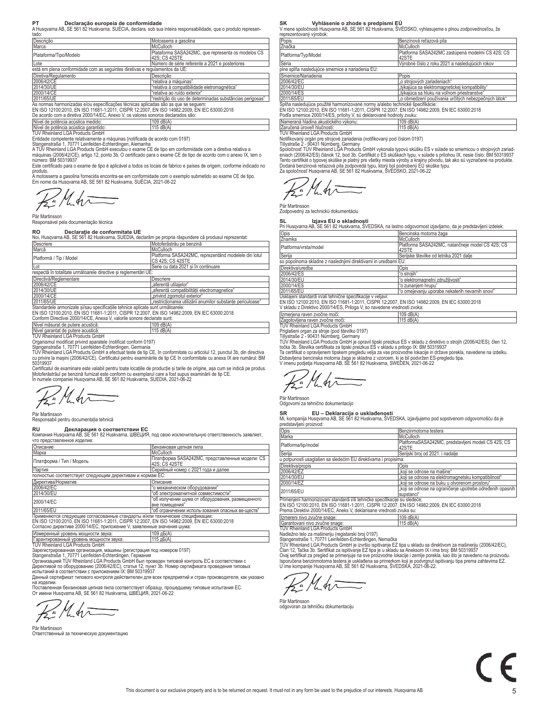**PT**<br>A Husqvarna AB, SE 561 82 Huskvarna, SUÉCIA, declara, sob sua inteira responsabilidade, que o produto represen-<br>tado:

| Descricão                                                                                                                                                                                                                                                              | Motosserra a gasolina                                               |  |
|------------------------------------------------------------------------------------------------------------------------------------------------------------------------------------------------------------------------------------------------------------------------|---------------------------------------------------------------------|--|
| Marca                                                                                                                                                                                                                                                                  | McCulloch                                                           |  |
| Plataforma/Tipo/Modelo                                                                                                                                                                                                                                                 | Plataforma SASA242MC, que representa os modelos CS<br>42S: CS 42STE |  |
| Lote                                                                                                                                                                                                                                                                   | Número de série referente a 2021 e posteriores                      |  |
| está em plena conformidade com as sequintes diretivas e regulamentos da UE:                                                                                                                                                                                            |                                                                     |  |
| Diretiva/Regulamento                                                                                                                                                                                                                                                   | Descricão                                                           |  |
| 2006/42/CE                                                                                                                                                                                                                                                             | "relativa a máquinas"                                               |  |
| 2014/30/UE                                                                                                                                                                                                                                                             | "relativa à compatibilidade eletromagnética"                        |  |
| 2000/14/CE                                                                                                                                                                                                                                                             | "relativa ao ruído exterior"                                        |  |
| 2011/65/UE                                                                                                                                                                                                                                                             | "restrição do uso de determinadas substâncias perigosas"            |  |
| As normas harmonizadas e/ou especificações técnicas aplicadas são as que se sequem:<br>EN ISO 12100:2010, EN ISO 11681-1:2011, CISPR 12:2007, EN ISO 14982:2009, EN IEC 63000:2018<br>De acordo com a diretiva 2000/14/EC, Anexo V, os valores sonoros declarados são: |                                                                     |  |
| Nível de potência acústica medido:                                                                                                                                                                                                                                     | 109 dB(A)                                                           |  |
| Nível de potência acústica garantido:                                                                                                                                                                                                                                  | 115 dB(A)                                                           |  |
| <b>TUV Rheinland LGA Products GmbH</b>                                                                                                                                                                                                                                 |                                                                     |  |
| Entidade competente relativamente a máquinas (notificada de acordo com 0197)                                                                                                                                                                                           |                                                                     |  |
| Stangenstraße 1, 70771 Leinfelden-Echterdingen, Alemanha                                                                                                                                                                                                               |                                                                     |  |
| A TÜV Rheinland LGA Products GmbH executou o exame CE de tipo em conformidade com a diretiva relativa a                                                                                                                                                                |                                                                     |  |

máquinas (2006/42/CE), artigo 12, ponto 3b. O certificado para o exame CE de tipo de acordo com o anexo IX, tem o

número: BM 50319937 Este certificado para o exame de tipo é aplicável a todos os locais de fabrico e países de origem, conforme indicado no produto.

A motosserra a gasolina fornecida encontra-se em conformidade com o exemplo submetido ao exame CE de tipo. Em nome da Husqvarna AB, SE 561 82 Huskvarna, SUÉCIA, 2021-06-22

 $R^{n}/4\pi$ 

### Pär Martinsson Responsável pela documentação técnica

**RO Declaraţie de conformitate UE** Noi, Husqvarna AB, SE 561 82 Huskvarna, SUEDIA, declarăm pe propria răspundere că produsul reprezentat:

| Descriere                                                                                   | Motoferăstrău pe benzină                                                 |
|---------------------------------------------------------------------------------------------|--------------------------------------------------------------------------|
| Marcă                                                                                       | McCulloch                                                                |
| Platformă / Tip / Model                                                                     | Platforma SASA242MC, reprezentând modelele din lotul<br>CS 42S: CS 42STE |
| Lot                                                                                         | Serie cu data 2021 si în continuare                                      |
| respectă în totalitate următoarele directive si reglementări UE:                            |                                                                          |
| Directivă/Reglementare                                                                      | Descriere                                                                |
| 2006/42/CE                                                                                  | "aferentă utilajelor"                                                    |
| 2014/30/UE                                                                                  | "aferentă compatibilității electromagnetice"                             |
| 2000/14/CE                                                                                  | ".privind zaomotul exterior                                              |
| 2011/65/UE                                                                                  | l restrictionarea utilizării anumitor substante periculoase"             |
| Standardele armonizate si/sau specificatiile tehnice aplicate sunt următoarele:             |                                                                          |
| EN ISO 12100:2010. EN ISO 11681-1:2011. CISPR 12:2007. EN ISO 14982:2009. EN IEC 63000:2018 |                                                                          |
| Conform Directivei 2000/14/CE, Anexa V, valorile sonore declarate sunt:                     |                                                                          |

Nivel măsurat de putere acustică: 109 dB(A)<br>Nivel garantat de putere acustică: 115 dB(A)

Nivel garantat de putere acustică: 115 dB(A) TÜV Rheinland LGA Products GmbH Organismul modificat privind aparatele (notificat conform 0197)

Stangenstraße 1, 70771 Leinfelden-Echterdingen, Germania<br>TÜV Rheinland LGA Products GmbH a efectuat teste de tip CE, în conformitate cu articolul 12, punctul 3b, din directiva<br>cu privire la mașini (2006/42/CE). Certificatu

Certificatul de examinare este valabil pentru toate locațiile de producție și tarile de origine, așa cum se indică pe produs.<br>Motoferăstrăul pe benzină furnizat este conform cu exemplarul care a fost supus examinării de ti

y<br>1. h  $\epsilon$ 

 Pär Martinsson Responsabil pentru documentația tehnică

**RU Декларация о соответствии ЕС** Компания Husqvarna AB, SE 561 82 Huskvarna, ШВЕЦИЯ, под свою исключительную ответственность заявляет,

что представленное изделие: Бензиновая цепная пила<br>McCulloch Описание платформа / Тип / Модель Платформа SASA242MC, представленные модели: CS<br>Платформа / Тип / Модель Сарта и Сарта и Сарта и Сарта и Сарта и Сарта и Сарта и Сарта и Сарта и Сарта и Сарта 42S; CS 42STE Партия Серийный номер с 2021 года и далее лностью соответствует следующим директивам и нор Директива/Норматив Описание Описание Описание Описание Описание Описание Описание 2006/42/EC "о механическом оборудовании" 2014/30/EU "об электромагнитной совместимости" 2000/14/EC "об излучении шума от оборудования, размещенного вне помещения"

2011/65/EU "об ограничении исполь-зования опасных ве-ществ" Применяются следующие согласованные стандарты и/или технические спецификации:<br>EN ISO 12100:2010, EN ISO 11681-1:2011, CISPR 12:2007, EN ISO 14982:2009, EN IEC 63000:2018

Согласно директиве 2000/14/EC, приложение V, заявленные значения шума:

Измеренный уровень мощности звука: 109 дБ(A)<br>Гарантированный уровень мощности звука: 115 дБ(A) Гарантированный уровень мощности звука: 115 дБ(A) TÜV Rheinland LGA Products GmbH

Зарегистрированная организация, машины (регистрация под номером 0197)

Stangenstraße 1,70771 Leinfelden-Echterdingen, Германия<br>Организацией TUV Rheinland LGA Products GmbH был проведен типовой контроль EC в соответствии с<br>Директивой по оборудованию (2006/42/EC), статья 12, пункт 3b. Номер се

на изделии. Поставленная бензиновая цепная пила соответствует образцу, прошедшему типовые испытания ЕС. От имени Husqvarna AB, SE 561 82 Huskvarna, ШВЕЦИЯ, 2021-06-22

Mati  $\frac{1}{2}$  /

 Pär Martinsson Ответственный за техническую документацию

## **SK <sup>Vyhlásenie o zhode s predpismi EÚ**<br>V mene spoločnosti Husqvarna AB, SE 561 82 Huskvarna, ŠVÉDSKO, vyhlasujeme s plnou zodpovednosťou, že</sup>

| reprezentovaný výrobok:                                                                                                                                                                                                                             |                                                           |
|-----------------------------------------------------------------------------------------------------------------------------------------------------------------------------------------------------------------------------------------------------|-----------------------------------------------------------|
| Popis                                                                                                                                                                                                                                               | Benzínová reťazová píla                                   |
| Značka                                                                                                                                                                                                                                              | McCulloch                                                 |
| Platforma/Typ/Model                                                                                                                                                                                                                                 | Platforma SASA242MC zastúpená modelmi CS 42S; CS<br>42STE |
| Séria                                                                                                                                                                                                                                               | Výrobné číslo z roku 2021 a nasledujúcich rokov           |
| plne spĺňa nasledujúce smernice a nariadenia EÚ:                                                                                                                                                                                                    |                                                           |
| Smernice/Nariadenia                                                                                                                                                                                                                                 | Popis                                                     |
| 2006/42/EC                                                                                                                                                                                                                                          | "o strojových zariadeniach"                               |
| 2014/30/EU                                                                                                                                                                                                                                          | "týkajúca sa elektromagnetickej kompatibility"            |
| 2000/14/ES                                                                                                                                                                                                                                          | "týkajúca sa hluku na voľnom priestranstve"               |
| 2011/65/EU                                                                                                                                                                                                                                          | "o obmedzení používania určitých nebezpečných látok"      |
| Spĺňa nasledujúce použité harmonizované normy a/alebo technické špecifikácie:<br>EN ISO 12100:2010, EN ISO 11681-1:2011, CISPR 12:2007, EN ISO 14982:2009, EN IEC 63000:2018<br>Podľa smernice 2000/14/ES, prílohy V, sú deklarované hodnoty zvuku: |                                                           |
| Nameraná hladina akustického výkonu:                                                                                                                                                                                                                | 109 dB(A)                                                 |
|                                                                                                                                                                                                                                                     |                                                           |

Zaručená úroveň hlučnosti: 115 dB(A)<br>TUV Rheinland LGA Products GmbH

TUV Rheinland LGA Products GmbH<br>Notříkovaný orgán pre strojové zariadenia (notífikovaný pod číslom 0197)<br>Splobčnosť TUV Rheinland LGA Products GmbH vykonala typovú skúšku ES v súlade so smernicou o strojových zariad<br>Splob

4 ф u

 Pär Martinsson Zodpovedný za technickú dokumentáciu

**SL Izjava EU o skladnosti** Pri Husqvarna AB, SE 561 82 Huskvarna, ŠVEDSKA, na lastno odgovornost izjavljamo, da je predstavljeni izdelek:

| Opis                                                                                                                                                                                                                                     | IBencinska motorna žaga                                   |
|------------------------------------------------------------------------------------------------------------------------------------------------------------------------------------------------------------------------------------------|-----------------------------------------------------------|
| Znamka                                                                                                                                                                                                                                   | McCulloch                                                 |
| Platforma/vrsta/model                                                                                                                                                                                                                    | Platforma SASA242MC, natančneje model CS 42S; CS<br>42STE |
| Serija                                                                                                                                                                                                                                   | ISeriiske številke od letnika 2021 dalie                  |
| so popolnoma skladne z naslednjimi direktivami in uredbami EU:                                                                                                                                                                           |                                                           |
| Direktiva/uredba                                                                                                                                                                                                                         | Opis                                                      |
| 2006/42/ES                                                                                                                                                                                                                               | "o stroiih"                                               |
| 2014/30/EU                                                                                                                                                                                                                               | "o elektromagnetni združlijvosti"                         |
| 2000/14/ES                                                                                                                                                                                                                               | "o zunaniem hrupu"                                        |
| 2011/65/EU                                                                                                                                                                                                                               | "o omejevanju uporabe nekaterih nevarnih snovi"           |
| Usklajeni standardi in/ali tehnične specifikacije v veljavi:<br>EN ISO 12100:2010. EN ISO 11681-1:2011. CISPR 12:2007. EN ISO 14982:2009. EN IEC 63000:2018<br>Validatu - Direktive 2000/14/ES, Drilogo V, se novedano vradnosti -velca: |                                                           |

V skladu z Direktivo 2000/14/ES, Priloga V, so navedene vrednosti zvoka: Izmerjena raven zvočne moči:<br>109 dB(A) 115 dB(A) 7 anotovijena raven zvočne moči: 115 dB(A) Zagotovljena raven zvočne moči: 115 dB(A) TÜV Rheinland LGA Products GmbH

Priglašeni organ za stroje (pod številko 0197)<br>Tillystraße 2 - 90431 Nürnberg, Germany<br>TÜV Rheiņland LGA Products GmbH je opravil tipski preizkus ES v skladu z direktivo o strojih (2006/42/ES); člen 12, točka 3b. Stevilka certifikata za tipski preizkus ES v skladu s prilogo IX: BM 50319937<br>Ta certifikat o opravljenem tipskem pregledu velja za vse proizvodne lokacije in države porekla, navedene na izdelku.<br>Dobavljena benci

4 вг

Pär Martinsson

Odgovorni za tehnično dokumentacijo

**SR EU – Deklaracija o usklađenosti** Mi, kompanija Husqvarna AB, SE 561 82 Huskvarna, ŠVEDSKA, izjavljujemo pod sopstvenom odgovornošću da je

| predstavljeni proizvod:                                                                                                                                                                                                                            |                                                                         |
|----------------------------------------------------------------------------------------------------------------------------------------------------------------------------------------------------------------------------------------------------|-------------------------------------------------------------------------|
| Opis                                                                                                                                                                                                                                               | Benzinmotorna testera                                                   |
| Marka                                                                                                                                                                                                                                              | McCulloch                                                               |
| Platforma/tip/model                                                                                                                                                                                                                                | PlatformaSASA242MC, predstavljeni modeli CS 42S; CS<br>42STE            |
| Serija                                                                                                                                                                                                                                             | Seriiski broi od 2021. i nadalie                                        |
| u potpunosti usaglašen sa sledećim EU direktivama i propisima:                                                                                                                                                                                     |                                                                         |
| Direktiva/propis                                                                                                                                                                                                                                   | Opis                                                                    |
| 2006/42/EZ                                                                                                                                                                                                                                         | "koji se odnose na mašine"                                              |
| 2014/30/EU                                                                                                                                                                                                                                         | "koji se odnose na elektromagnetsku kompatibilnost"                     |
| 2000/14/EZ                                                                                                                                                                                                                                         | "koji se odnose na buku u otvorenom prostoru"                           |
| 2011/65/EU                                                                                                                                                                                                                                         | "koji se odnose na ograničenje upotrebe određenih opasnih<br>supstanci" |
| Primenjeni harmonizovani standardi i/ili tehničke specifikacije su sledeće;<br>EN ISO 12100:2010, EN ISO 11681-1:2011, CISPR 12:2007, EN ISO 14982:2009, EN IEC 63000:2018<br>Prema Direktivi 2000/14/EC. Aneks V. deklarisane vrednosti zvuka su: |                                                                         |
| Izmereni nivo zvučne snage:                                                                                                                                                                                                                        | 109 dB(A)                                                               |

Garantovani nivo zvučne snage: 115 dB(A) TÜV Rheinland LGA Products GmbH

Nadležno telo za mašineriju (registarski broj 0197)<br>Stangenstraße 1, 70771 Leinfelden-Echterdingen, Nemačka<br>TUV Rheinland LGA Products GmbH je izvršio ispitivanje EZ tipa u skladu sa direktivom za mašineriju (2006/42/EC), Clan 12, Tačka 3b. Sertifikat za ispitivanje EZ tipa je u skladu sa Aneksom IX i ima broj: BM 50319937<br>Ovaj sertifikat za pregled se primenjuje na sve proizvodne Iokacije i zemlje porekla, kao što je navedeno na proizvodu.

 $\mathcal{A}$ 

 Pär Martinsson odgovoran za tehničku dokumentaciju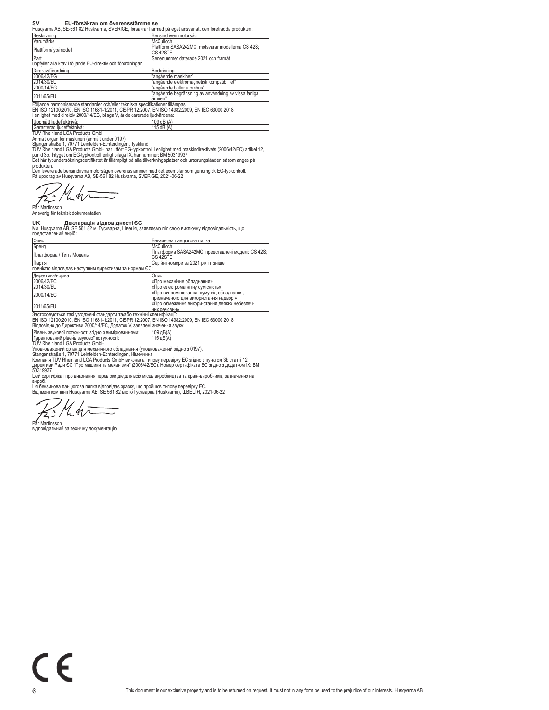**SV EU-försäkran om överensstämmelse**<br>Husgvarna AB, SE-561 82 Huskvarna, SVERIGE, försäkrar härmed på eget ansvar att den företrädda produkten

| Beskrivning                                                                                                                                                                                                                                                 | Bensindriven motorsåg                                                |
|-------------------------------------------------------------------------------------------------------------------------------------------------------------------------------------------------------------------------------------------------------------|----------------------------------------------------------------------|
| <b>Varumärke</b>                                                                                                                                                                                                                                            | McCulloch                                                            |
| Plattform/typ/modell                                                                                                                                                                                                                                        | Plattform SASA242MC, motsvarar modellerna CS 42S:<br><b>CS 42STE</b> |
| Parti                                                                                                                                                                                                                                                       | Serienummer daterade 2021 och framåt                                 |
| uppfyller alla krav i följande EU-direktiv och förordningar:                                                                                                                                                                                                |                                                                      |
| Direktiv/förordning                                                                                                                                                                                                                                         | Beskrivning                                                          |
| 2006/42/EG                                                                                                                                                                                                                                                  | "angående maskiner"                                                  |
| 2014/30/EU                                                                                                                                                                                                                                                  | "angående elektromagnetisk kompatibilitet"                           |
| 2000/14/EG                                                                                                                                                                                                                                                  | "angående buller utomhus"                                            |
| 2011/65/EU                                                                                                                                                                                                                                                  | "angående begränsning av användning av vissa farliga<br>lämnen"      |
| Följande harmoniserade standarder och/eller tekniska specifikationer tillämpas:<br>EN ISO 12100:2010, EN ISO 11681-1:2011, CISPR 12:2007, EN ISO 14982:2009, EN IEC 63000:2018<br>I enlighet med direktiv 2000/14/EG, bilaga V, är deklarerade ljudvärdena: |                                                                      |
| Uppmätt ljudeffektnivå:                                                                                                                                                                                                                                     | 109 dB (A)                                                           |
| Garanterad liudeffektnivå:                                                                                                                                                                                                                                  | 115 dB (A)                                                           |
| <b>TUV Rheinland LGA Products GmbH</b>                                                                                                                                                                                                                      |                                                                      |

Anmält organ för maskineri (anmält under 0197)<br>Stangenstraße 1, 70771 Leinfelden-Echterdingen, Tyskland<br>TUV Rheinland LGA Products GmbH har utfört EG-typkontroll i enlighet med maskindirektivets (2006/42/EC) artikel 12,<br>pu

produkten.<br>Den levererade bensindrivna motorsågen överensstämmer med det exemplar som genomgick EG-typkontroll.<br>På uppdrag av Husqvarna AB, SE-561 82 Huskvarna, SVERIGE, 2021-06-22

 $M_{\star}$  $\stackrel{\prime\prime}{\phantom{}_{\prime}}$ 2 Pär Martinsson Ansvarig för teknisk dokumentation

**UK**<br>Ми, Husqvarna AB, SE 561 82 м. Гускварна, Швеція, заявляємо під свою виключну відповідальність, що<br>представлений виріб:

| pono.aso sp.o.                                                                                                                                                                                                                                  |                                                                                    |
|-------------------------------------------------------------------------------------------------------------------------------------------------------------------------------------------------------------------------------------------------|------------------------------------------------------------------------------------|
| Опис                                                                                                                                                                                                                                            | Бензинова ланцюгова пилка                                                          |
| Бренд                                                                                                                                                                                                                                           | McCulloch                                                                          |
| Платформа / Тип / Модель                                                                                                                                                                                                                        | Платформа SASA242MC, представлені моделі: CS 42S:<br>CS 42STE                      |
| Партія                                                                                                                                                                                                                                          | Серійні номери за 2021 рік і пізніше                                               |
| повністю відповідає наступним директивам та нормам ЄС:                                                                                                                                                                                          |                                                                                    |
| Директива/норма                                                                                                                                                                                                                                 | Опис                                                                               |
| 2006/42/EC                                                                                                                                                                                                                                      | «Про механічне обладнання»                                                         |
| 2014/30/EU                                                                                                                                                                                                                                      | «Про електромагнітну сумісність»                                                   |
| 2000/14/EC                                                                                                                                                                                                                                      | «Про випромінювання шуму від обладнання,<br>призначеного для використання надворі» |
| 2011/65/EU                                                                                                                                                                                                                                      | «Про обмеження викори-стання деяких небезпеч-<br>них речовин»                      |
| Застосовуються такі узгоджені стандарти та/або технічні специфікації:<br>EN ISO 12100:2010. ÉN ISO 11681-1:2011. CISPR 12:2007. EN ISO 14982:2009. EN IEC 63000:2018<br>Відповідно до Директиви 2000/14/ЕС, Додаток V, заявлені значення звуку: |                                                                                    |

Рівень звукової потужності згідно з вимірюваннями: 109 дБ(A)<br>Гарантований рівень звукової потужності: 115 дБ(A) Гарантований рівень звукової потужності:<br>Гарантований рівень звукової потужності:<br>TÜV Rheinland LGA Products GmbH

TUV Rheinland LGA Products GmbH<br>Уповноважений орган для механічного обладнання (уповноважений згідно з 0197).<br>Stangenstraße 1, 70771 Leinfelden-Echterdingen, Німеччина<br>Компанія TUV Rheinland LGA Products GmbH виконала тип

Цей сертифікат про виконання перевірки діє для всіх місць виробництва та країн-виробників, зазначених на<br>виробі.<br>Ця бензинова ланцюгова пилка відповідає зразку, що пройшов типову перевірку ЕС.<br>Від імені компанії Низqvarna

 $4\pi$  $\overline{\phantom{0}}$ 

Pär Martinsson відповідальний за технічну документацію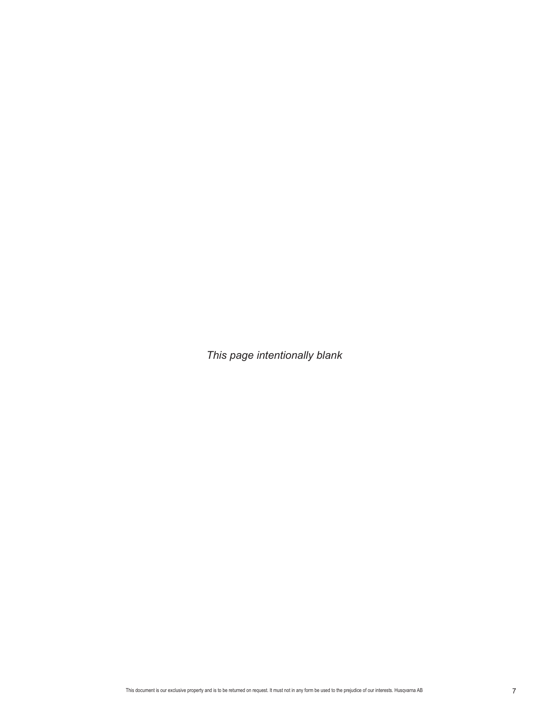*This page intentionally blank*